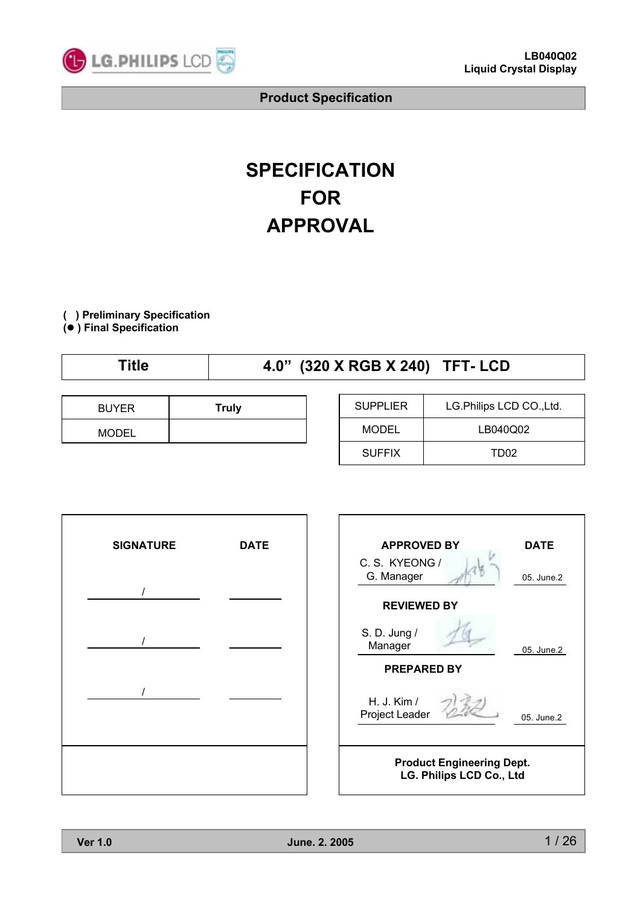

# **SPECIFICATION FOR APPROVAL**

**( ) Preliminary Specification**

**(**) **) Final Specification**

|  | `itle | 4.0" (320 X RGB X 240) TFT- LCD |
|--|-------|---------------------------------|
|--|-------|---------------------------------|

| <b>BUYER</b> | <b>Truly</b> |
|--------------|--------------|
| <b>MODEL</b> |              |

| <b>SUPPLIER</b> | LG.Philips LCD CO., Ltd. |
|-----------------|--------------------------|
| MODEL           | LB040Q02                 |
| <b>SUFFIX</b>   | TD <sub>02</sub>         |

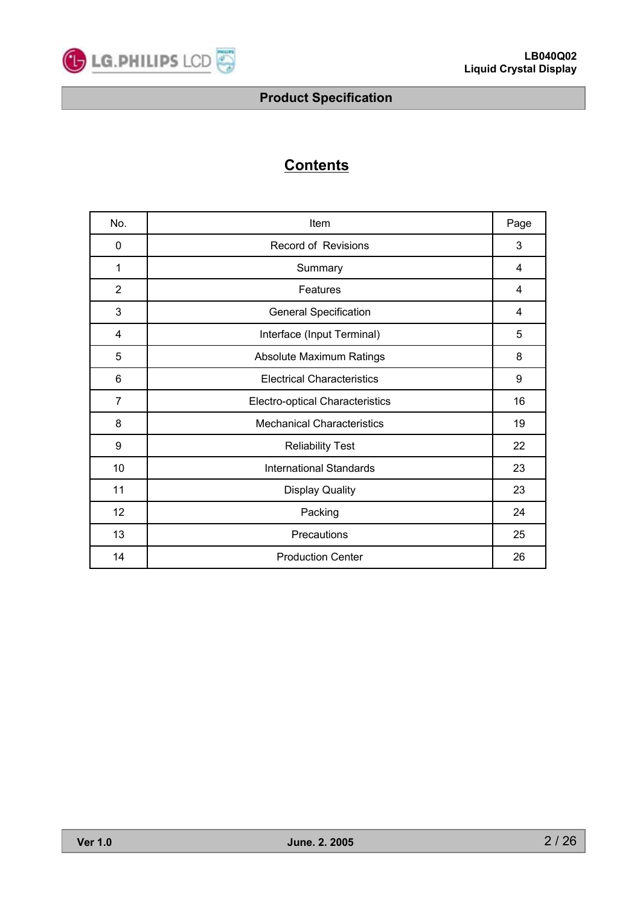

# **Contents**

| No.            | Item                                   | Page |
|----------------|----------------------------------------|------|
| 0              | Record of Revisions                    | 3    |
| 1              | Summary                                | 4    |
| $\overline{2}$ | Features                               | 4    |
| 3              | <b>General Specification</b>           | 4    |
| 4              | Interface (Input Terminal)             | 5    |
| 5              | Absolute Maximum Ratings               | 8    |
| 6              | <b>Electrical Characteristics</b>      | 9    |
| $\overline{7}$ | <b>Electro-optical Characteristics</b> | 16   |
| 8              | <b>Mechanical Characteristics</b>      | 19   |
| 9              | <b>Reliability Test</b>                | 22   |
| 10             | <b>International Standards</b>         | 23   |
| 11             | <b>Display Quality</b>                 | 23   |
| 12             | Packing                                | 24   |
| 13             | Precautions                            | 25   |
| 14             | <b>Production Center</b>               | 26   |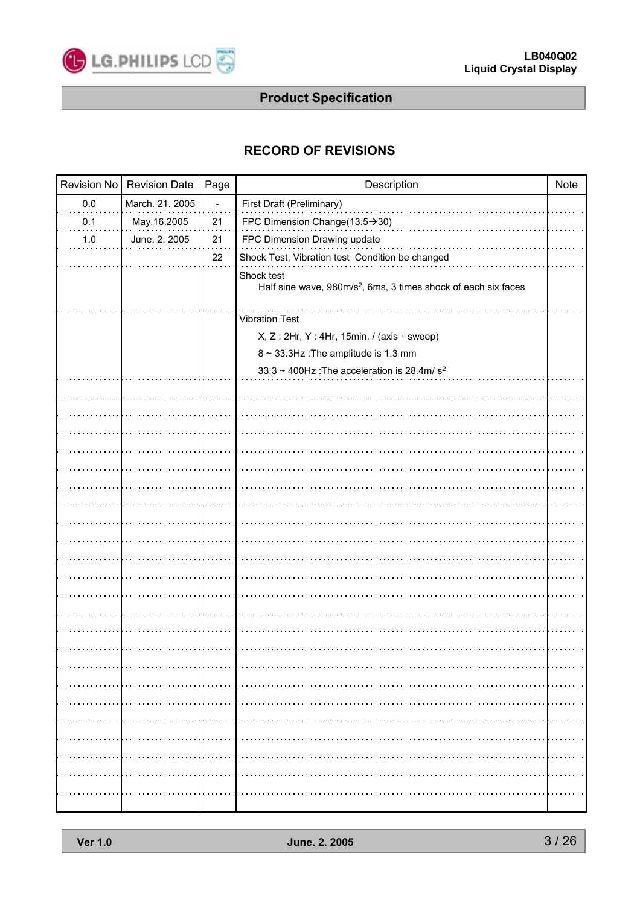

# **RECORD OF REVISIONS**

| Revision No | <b>Revision Date</b> | Page | Description                                                                              | <b>Note</b> |
|-------------|----------------------|------|------------------------------------------------------------------------------------------|-------------|
| $0.0\,$     | March. 21. 2005      |      | First Draft (Preliminary)                                                                |             |
| 0.1         | May.16.2005          | 21   | FPC Dimension Change(13.5→30)                                                            |             |
| 1.0         | June. 2. 2005        | 21   | FPC Dimension Drawing update                                                             |             |
|             |                      | 22   | Shock Test, Vibration test Condition be changed                                          |             |
|             |                      |      | Shock test<br>Half sine wave, 980m/s <sup>2</sup> , 6ms, 3 times shock of each six faces |             |
|             |                      |      |                                                                                          |             |
|             |                      |      | <b>Vibration Test</b>                                                                    |             |
|             |                      |      | $X, Z: 2Hr, Y: 4Hr, 15min.$ / (axis · sweep)                                             |             |
|             |                      |      | 8 ~ 33.3Hz : The amplitude is 1.3 mm                                                     |             |
|             |                      |      | 33.3 ~ 400Hz : The acceleration is 28.4m/ $s^2$                                          |             |
|             |                      |      |                                                                                          |             |
|             |                      |      |                                                                                          |             |
|             |                      |      |                                                                                          |             |
|             |                      |      |                                                                                          |             |
|             |                      |      |                                                                                          |             |
|             |                      |      |                                                                                          |             |
|             |                      |      |                                                                                          |             |
|             |                      |      |                                                                                          |             |
|             |                      |      |                                                                                          |             |
|             |                      |      |                                                                                          |             |
|             |                      |      |                                                                                          |             |
|             |                      |      |                                                                                          |             |
|             |                      |      |                                                                                          |             |
|             |                      |      |                                                                                          |             |
|             |                      |      |                                                                                          |             |
|             |                      |      |                                                                                          |             |
|             |                      |      |                                                                                          |             |
|             |                      |      |                                                                                          |             |
|             |                      |      |                                                                                          |             |
|             |                      |      |                                                                                          |             |
|             |                      |      |                                                                                          |             |
|             |                      |      |                                                                                          |             |
|             |                      |      |                                                                                          |             |
|             |                      |      |                                                                                          |             |
|             |                      |      |                                                                                          |             |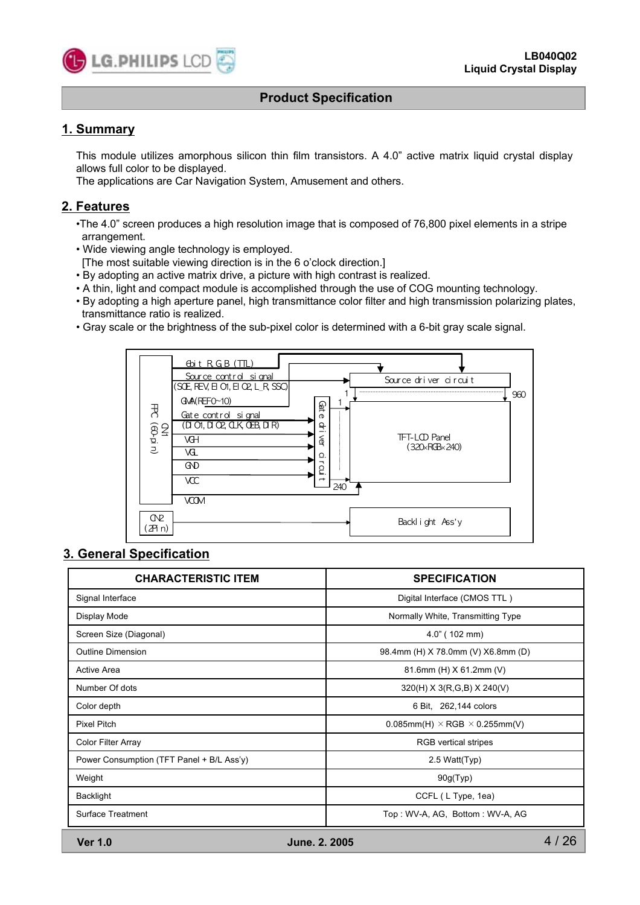

# **1. Summary**

This module utilizes amorphous silicon thin film transistors. A 4.0" active matrix liquid crystal display allows full color to be displayed.

The applications are Car Navigation System, Amusement and others.

# **2. Features**

- •The 4.0" screen produces a high resolution image that is composed of 76,800 pixel elements in a stripe arrangement.
- Wide viewing angle technology is employed.
	- [The most suitable viewing direction is in the 6 o'clock direction.]
- By adopting an active matrix drive, a picture with high contrast is realized.
- A thin, light and compact module is accomplished through the use of COG mounting technology.
- By adopting a high aperture panel, high transmittance color filter and high transmission polarizing plates, transmittance ratio is realized.
- Gray scale or the brightness of the sub-pixel color is determined with a 6-bit gray scale signal.



# **3. General Specification**

| <b>CHARACTERISTIC ITEM</b>                | <b>SPECIFICATION</b>                           |
|-------------------------------------------|------------------------------------------------|
| Signal Interface                          | Digital Interface (CMOS TTL)                   |
| Display Mode                              | Normally White, Transmitting Type              |
| Screen Size (Diagonal)                    | $4.0$ " (102 mm)                               |
| <b>Outline Dimension</b>                  | 98.4mm (H) X 78.0mm (V) X6.8mm (D)             |
| <b>Active Area</b>                        | 81.6mm (H) X 61.2mm (V)                        |
| Number Of dots                            | $320(H)$ X 3(R,G,B) X 240(V)                   |
| Color depth                               | 6 Bit, 262,144 colors                          |
| <b>Pixel Pitch</b>                        | $0.085$ mm(H) $\times$ RGB $\times$ 0.255mm(V) |
| <b>Color Filter Array</b>                 | <b>RGB</b> vertical stripes                    |
| Power Consumption (TFT Panel + B/L Ass'y) | 2.5 Watt(Typ)                                  |
| Weight                                    | 90g(Typ)                                       |
| Backlight                                 | CCFL (L Type, 1ea)                             |
| Surface Treatment                         | Top: WV-A, AG, Bottom: WV-A, AG                |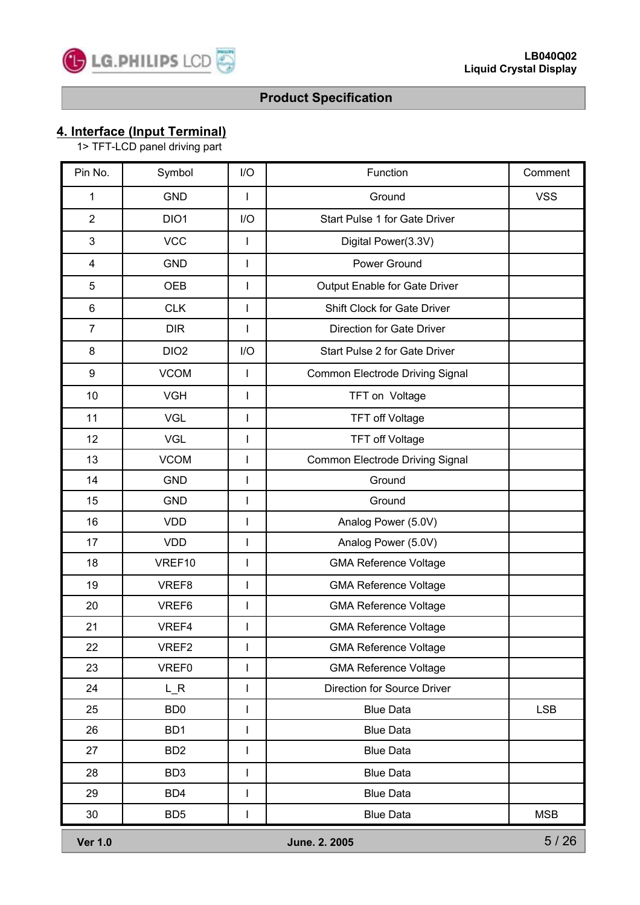# **4. Interface (Input Terminal)**

1> TFT-LCD panel driving part

| Pin No.          | Symbol           | I/O                                                                                                                                                                                                                                                                                                                                                                              | Function                        | Comment    |
|------------------|------------------|----------------------------------------------------------------------------------------------------------------------------------------------------------------------------------------------------------------------------------------------------------------------------------------------------------------------------------------------------------------------------------|---------------------------------|------------|
| 1                | <b>GND</b>       | ı                                                                                                                                                                                                                                                                                                                                                                                | Ground                          | <b>VSS</b> |
| $\overline{2}$   | DIO1             | I/O                                                                                                                                                                                                                                                                                                                                                                              | Start Pulse 1 for Gate Driver   |            |
| 3                | <b>VCC</b>       | $\mathbf{I}$                                                                                                                                                                                                                                                                                                                                                                     | Digital Power(3.3V)             |            |
| 4                | <b>GND</b>       | $\mathsf I$                                                                                                                                                                                                                                                                                                                                                                      | Power Ground                    |            |
| 5                | <b>OEB</b>       | $\mathsf{l}$                                                                                                                                                                                                                                                                                                                                                                     | Output Enable for Gate Driver   |            |
| 6                | <b>CLK</b>       | $\overline{\phantom{a}}$                                                                                                                                                                                                                                                                                                                                                         | Shift Clock for Gate Driver     |            |
| $\overline{7}$   | <b>DIR</b>       | I                                                                                                                                                                                                                                                                                                                                                                                | Direction for Gate Driver       |            |
| 8                | DIO <sub>2</sub> | I/O                                                                                                                                                                                                                                                                                                                                                                              | Start Pulse 2 for Gate Driver   |            |
| $\boldsymbol{9}$ | <b>VCOM</b>      | $\mathbf{I}$                                                                                                                                                                                                                                                                                                                                                                     | Common Electrode Driving Signal |            |
| 10               | <b>VGH</b>       | $\overline{\phantom{a}}$                                                                                                                                                                                                                                                                                                                                                         | TFT on Voltage                  |            |
| 11               | <b>VGL</b>       | I                                                                                                                                                                                                                                                                                                                                                                                | <b>TFT off Voltage</b>          |            |
| 12               | <b>VGL</b>       | I                                                                                                                                                                                                                                                                                                                                                                                | <b>TFT off Voltage</b>          |            |
| 13               | <b>VCOM</b>      | $\begin{array}{c} \rule{0pt}{2.5ex} \rule{0pt}{2.5ex} \rule{0pt}{2.5ex} \rule{0pt}{2.5ex} \rule{0pt}{2.5ex} \rule{0pt}{2.5ex} \rule{0pt}{2.5ex} \rule{0pt}{2.5ex} \rule{0pt}{2.5ex} \rule{0pt}{2.5ex} \rule{0pt}{2.5ex} \rule{0pt}{2.5ex} \rule{0pt}{2.5ex} \rule{0pt}{2.5ex} \rule{0pt}{2.5ex} \rule{0pt}{2.5ex} \rule{0pt}{2.5ex} \rule{0pt}{2.5ex} \rule{0pt}{2.5ex} \rule{0$ | Common Electrode Driving Signal |            |
| 14               | <b>GND</b>       | I                                                                                                                                                                                                                                                                                                                                                                                | Ground                          |            |
| 15               | <b>GND</b>       | $\overline{\phantom{a}}$                                                                                                                                                                                                                                                                                                                                                         | Ground                          |            |
| 16               | <b>VDD</b>       | I                                                                                                                                                                                                                                                                                                                                                                                | Analog Power (5.0V)             |            |
| 17               | <b>VDD</b>       | I                                                                                                                                                                                                                                                                                                                                                                                | Analog Power (5.0V)             |            |
| 18               | VREF10           | $\overline{\phantom{a}}$                                                                                                                                                                                                                                                                                                                                                         | <b>GMA Reference Voltage</b>    |            |
| 19               | VREF8            | I                                                                                                                                                                                                                                                                                                                                                                                | <b>GMA Reference Voltage</b>    |            |
| 20               | VREF6            | $\overline{\phantom{a}}$                                                                                                                                                                                                                                                                                                                                                         | <b>GMA Reference Voltage</b>    |            |
| 21               | VREF4            | I                                                                                                                                                                                                                                                                                                                                                                                | <b>GMA Reference Voltage</b>    |            |
| 22               | VREF2            | J.                                                                                                                                                                                                                                                                                                                                                                               | <b>GMA Reference Voltage</b>    |            |
| 23               | VREF0            | I                                                                                                                                                                                                                                                                                                                                                                                | <b>GMA Reference Voltage</b>    |            |
| 24               | $L_R$            | $\mathsf I$                                                                                                                                                                                                                                                                                                                                                                      | Direction for Source Driver     |            |
| 25               | BD <sub>0</sub>  | I                                                                                                                                                                                                                                                                                                                                                                                | <b>Blue Data</b>                | <b>LSB</b> |
| 26               | BD <sub>1</sub>  | $\mathsf I$                                                                                                                                                                                                                                                                                                                                                                      | <b>Blue Data</b>                |            |
| 27               | BD <sub>2</sub>  | $\mathsf I$                                                                                                                                                                                                                                                                                                                                                                      | <b>Blue Data</b>                |            |
| 28               | BD <sub>3</sub>  | I                                                                                                                                                                                                                                                                                                                                                                                | <b>Blue Data</b>                |            |
| 29               | BD4              | $\begin{array}{c} \rule{0pt}{2.5ex} \rule{0pt}{2.5ex} \rule{0pt}{2.5ex} \rule{0pt}{2.5ex} \rule{0pt}{2.5ex} \rule{0pt}{2.5ex} \rule{0pt}{2.5ex} \rule{0pt}{2.5ex} \rule{0pt}{2.5ex} \rule{0pt}{2.5ex} \rule{0pt}{2.5ex} \rule{0pt}{2.5ex} \rule{0pt}{2.5ex} \rule{0pt}{2.5ex} \rule{0pt}{2.5ex} \rule{0pt}{2.5ex} \rule{0pt}{2.5ex} \rule{0pt}{2.5ex} \rule{0pt}{2.5ex} \rule{0$ | <b>Blue Data</b>                |            |
| 30               | BD <sub>5</sub>  | $\overline{\phantom{a}}$                                                                                                                                                                                                                                                                                                                                                         | <b>Blue Data</b>                | <b>MSB</b> |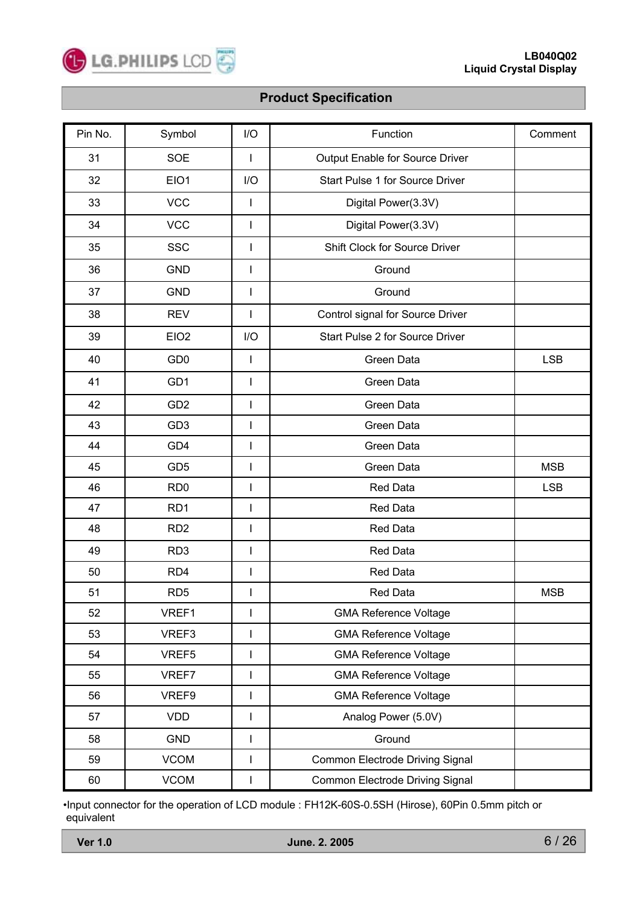

| Pin No. | Symbol           | I/O                      | Function                         | Comment    |
|---------|------------------|--------------------------|----------------------------------|------------|
| 31      | <b>SOE</b>       | $\mathbf{I}$             | Output Enable for Source Driver  |            |
| 32      | EIO1             | I/O                      | Start Pulse 1 for Source Driver  |            |
| 33      | <b>VCC</b>       | $\mathbf{I}$             | Digital Power(3.3V)              |            |
| 34      | <b>VCC</b>       | $\mathbf{I}$             | Digital Power(3.3V)              |            |
| 35      | <b>SSC</b>       | $\mathbf{I}$             | Shift Clock for Source Driver    |            |
| 36      | <b>GND</b>       | $\mathsf{I}$             | Ground                           |            |
| 37      | <b>GND</b>       | $\mathsf{I}$             | Ground                           |            |
| 38      | <b>REV</b>       | $\mathbf{I}$             | Control signal for Source Driver |            |
| 39      | EIO <sub>2</sub> | I/O                      | Start Pulse 2 for Source Driver  |            |
| 40      | GD <sub>0</sub>  | $\mathbf{I}$             | Green Data                       | <b>LSB</b> |
| 41      | GD1              | $\mathbf{I}$             | Green Data                       |            |
| 42      | GD <sub>2</sub>  | $\mathsf{I}$             | Green Data                       |            |
| 43      | GD <sub>3</sub>  | $\mathbf{I}$             | Green Data                       |            |
| 44      | GD4              | $\mathbf{I}$             | Green Data                       |            |
| 45      | GD <sub>5</sub>  | $\overline{\phantom{a}}$ | Green Data                       | <b>MSB</b> |
| 46      | RD <sub>0</sub>  | $\mathsf{I}$             | <b>Red Data</b>                  | <b>LSB</b> |
| 47      | RD <sub>1</sub>  | $\overline{\phantom{a}}$ | <b>Red Data</b>                  |            |
| 48      | RD <sub>2</sub>  | $\mathbf{I}$             | <b>Red Data</b>                  |            |
| 49      | RD <sub>3</sub>  | $\mathsf{I}$             | <b>Red Data</b>                  |            |
| 50      | RD4              | $\overline{\phantom{a}}$ | Red Data                         |            |
| 51      | RD <sub>5</sub>  | I.                       | <b>Red Data</b>                  | <b>MSB</b> |
| 52      | VREF1            | 1                        | <b>GMA Reference Voltage</b>     |            |
| 53      | VREF3            | $\mathsf{I}$             | <b>GMA Reference Voltage</b>     |            |
| 54      | VREF5            | $\mathbf{I}$             | <b>GMA Reference Voltage</b>     |            |
| 55      | VREF7            | $\mathbf{I}$             | <b>GMA Reference Voltage</b>     |            |
| 56      | VREF9            | $\mathsf{I}$             | <b>GMA Reference Voltage</b>     |            |
| 57      | <b>VDD</b>       | $\mathbf{I}$             | Analog Power (5.0V)              |            |
| 58      | <b>GND</b>       | $\mathbf{I}$             | Ground                           |            |
| 59      | <b>VCOM</b>      | $\mathsf{I}$             | Common Electrode Driving Signal  |            |
| 60      | <b>VCOM</b>      | 1                        | Common Electrode Driving Signal  |            |

•Input connector for the operation of LCD module : FH12K-60S-0.5SH (Hirose), 60Pin 0.5mm pitch or equivalent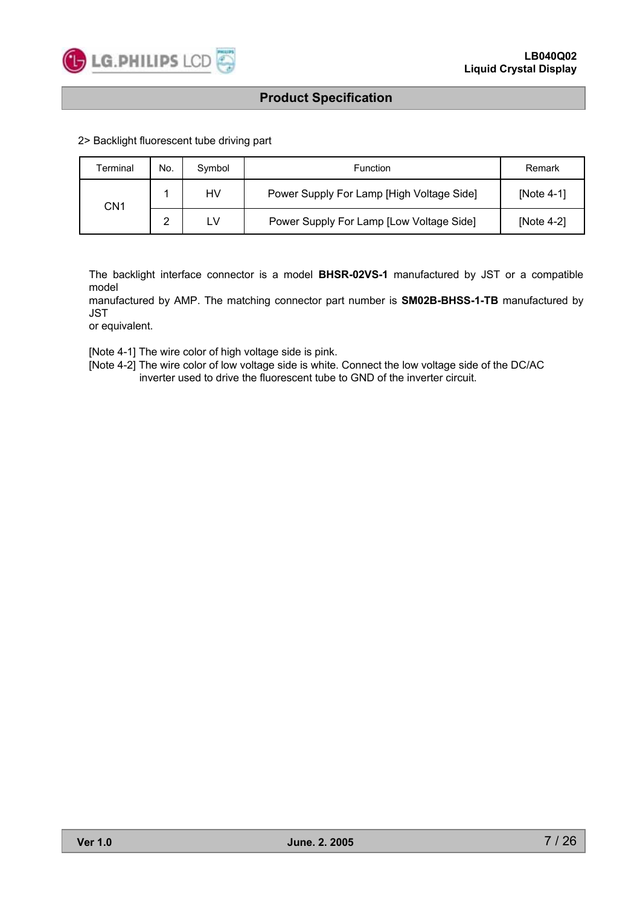

2> Backlight fluorescent tube driving part

| Terminal        | No.    | Symbol | Function                                  | Remark        |
|-----------------|--------|--------|-------------------------------------------|---------------|
| CN <sub>1</sub> |        | HV     | Power Supply For Lamp [High Voltage Side] | [Note $4-1$ ] |
|                 | ົ<br>▃ | LV     | Power Supply For Lamp [Low Voltage Side]  | [Note $4-2$ ] |

The backlight interface connector is a model **BHSR-02VS-1** manufactured by JST or a compatible model

manufactured by AMP. The matching connector part number is **SM02B-BHSS-1-TB** manufactured by JST

or equivalent.

[Note 4-1] The wire color of high voltage side is pink.

[Note 4-2] The wire color of low voltage side is white. Connect the low voltage side of the DC/AC inverter used to drive the fluorescent tube to GND of the inverter circuit.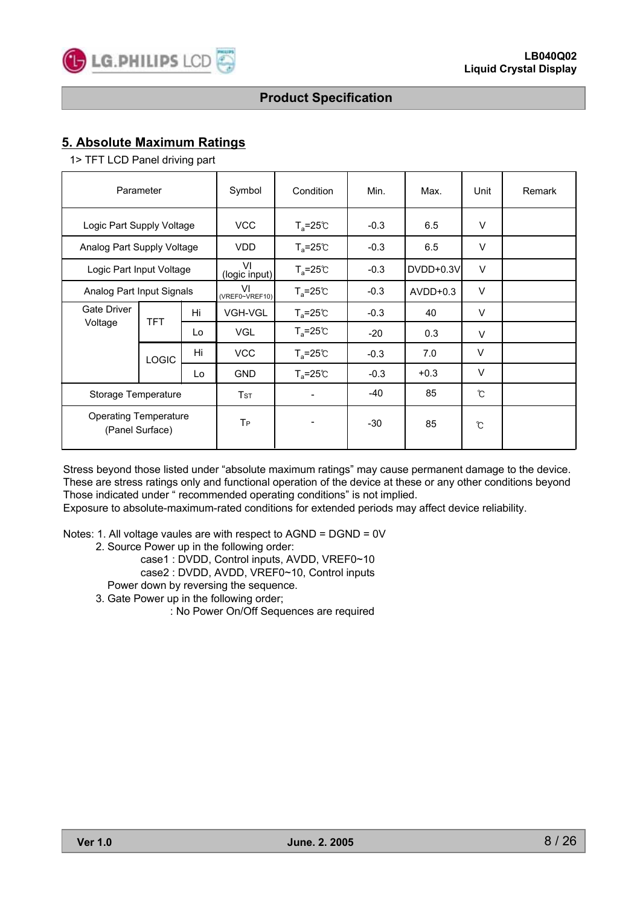# **5. Absolute Maximum Ratings**

1> TFT LCD Panel driving part

| Parameter                                       |                           |     | Symbol               | Condition                                  | Min.   | Max.       | Unit   | Remark |
|-------------------------------------------------|---------------------------|-----|----------------------|--------------------------------------------|--------|------------|--------|--------|
| Logic Part Supply Voltage                       |                           |     | <b>VCC</b>           | $T_a = 25^\circ \text{C}$                  | $-0.3$ | 6.5        | $\vee$ |        |
| Analog Part Supply Voltage                      |                           |     | <b>VDD</b>           | $T_a = 25^\circ \text{C}$                  | $-0.3$ | 6.5        | $\vee$ |        |
|                                                 | Logic Part Input Voltage  |     |                      | $T_a = 25^\circ \text{C}$<br>(logic input) | $-0.3$ | DVDD+0.3V  | $\vee$ |        |
|                                                 | Analog Part Input Signals |     | VI<br>(VREF0~VREF10) | $T_a = 25^{\circ}C$                        | $-0.3$ | $AVDD+0.3$ | $\vee$ |        |
| Gate Driver                                     | Hi<br><b>TFT</b>          |     | <b>VGH-VGL</b>       | $T_a = 25^\circ \text{C}$                  | $-0.3$ | 40         | $\vee$ |        |
| Voltage                                         |                           | Lo  | <b>VGL</b>           | $T_a = 25C$                                | $-20$  | 0.3        | $\vee$ |        |
|                                                 | <b>LOGIC</b>              |     | <b>VCC</b>           | $T_a = 25^\circ \text{C}$                  | $-0.3$ | 7.0        | $\vee$ |        |
|                                                 | Lo                        |     | <b>GND</b>           | $T_a = 25^\circ \text{C}$                  | $-0.3$ | $+0.3$     | $\vee$ |        |
| Storage Temperature                             |                           | TsT | -                    | -40                                        | 85     | °C         |        |        |
| <b>Operating Temperature</b><br>(Panel Surface) |                           |     | T <sub>P</sub>       | -                                          | $-30$  | 85         | ົ      |        |

Stress beyond those listed under "absolute maximum ratings" may cause permanent damage to the device. These are stress ratings only and functional operation of the device at these or any other conditions beyond Those indicated under " recommended operating conditions" is not implied.

Exposure to absolute-maximum-rated conditions for extended periods may affect device reliability.

Notes: 1. All voltage vaules are with respect to AGND = DGND = 0V

- 2. Source Power up in the following order:
	- case1 : DVDD, Control inputs, AVDD, VREF0~10
	- case2 : DVDD, AVDD, VREF0~10, Control inputs
	- Power down by reversing the sequence.
- 3. Gate Power up in the following order;
	- : No Power On/Off Sequences are required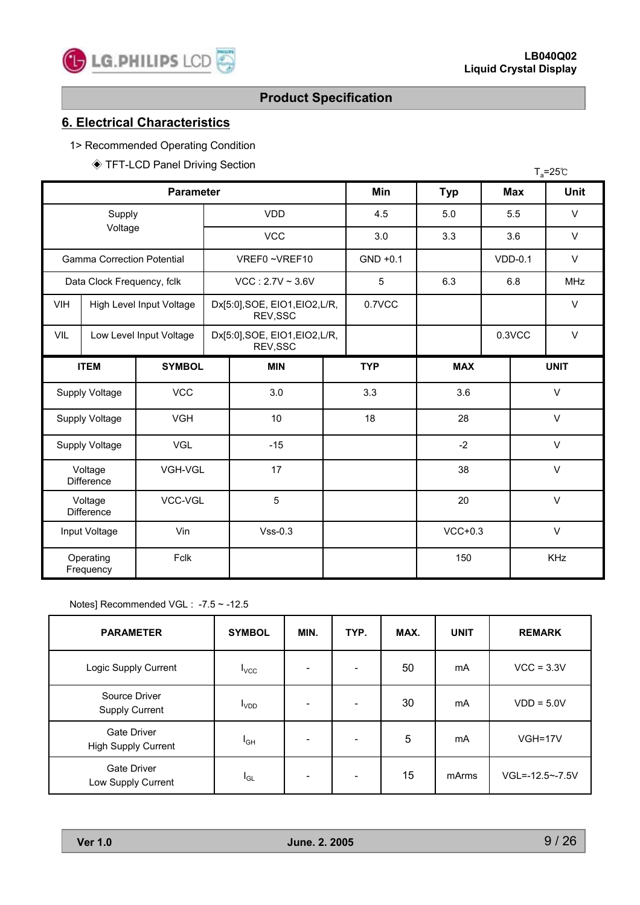# **6. Electrical Characteristics**

1> Recommended Operating Condition

\* TFT-LCD Panel Driving Section

|                                         |                                         | $\vee$ in FLUD Parier Driving Section |                                            |                                            |     |            | $T_a = 25^{\circ}C$ |        |            |             |
|-----------------------------------------|-----------------------------------------|---------------------------------------|--------------------------------------------|--------------------------------------------|-----|------------|---------------------|--------|------------|-------------|
|                                         |                                         | <b>Parameter</b>                      |                                            |                                            |     | <b>Min</b> | <b>Typ</b>          |        | <b>Max</b> | <b>Unit</b> |
|                                         | Supply                                  |                                       |                                            | <b>VDD</b>                                 | 4.5 | 5.0        |                     | 5.5    | $\vee$     |             |
| Voltage                                 |                                         |                                       |                                            | <b>VCC</b>                                 |     | 3.0        | 3.3                 |        | 3.6        | $\vee$      |
| <b>Gamma Correction Potential</b>       |                                         |                                       |                                            | VREF0~VREF10                               |     | $GND +0.1$ |                     |        | $VDD-0.1$  | $\vee$      |
| Data Clock Frequency, fclk              |                                         |                                       |                                            | $VCC$ : 2.7V ~ 3.6V                        |     | 5          | 6.3                 |        | 6.8        | <b>MHz</b>  |
| <b>VIH</b>                              |                                         | High Level Input Voltage              |                                            | Dx[5:0], SOE, EIO1, EIO2, L/R,<br>REV, SSC |     | 0.7VCC     |                     |        |            | $\vee$      |
| VIL                                     |                                         | Low Level Input Voltage               | Dx[5:0], SOE, EIO1, EIO2, L/R,<br>REV, SSC |                                            |     |            |                     |        | 0.3VCC     | $\vee$      |
|                                         | <b>ITEM</b>                             | <b>SYMBOL</b>                         |                                            | <b>MIN</b>                                 |     |            | <b>MAX</b>          |        |            | <b>UNIT</b> |
|                                         | Supply Voltage                          | <b>VCC</b>                            |                                            | 3.0                                        |     | 3.3        | 3.6                 |        |            | $\vee$      |
|                                         | Supply Voltage                          | <b>VGH</b>                            |                                            | 10                                         |     | 18         | 28                  |        | $\vee$     |             |
|                                         | Supply Voltage                          | <b>VGL</b>                            |                                            | $-15$                                      |     |            | $-2$                |        | $\vee$     |             |
|                                         | Voltage<br>VGH-VGL<br><b>Difference</b> |                                       | 17                                         |                                            |     | 38         |                     | $\vee$ |            |             |
| VCC-VGL<br>Voltage<br><b>Difference</b> |                                         | 5                                     |                                            | 20                                         |     |            | $\vee$              |        |            |             |
|                                         | Vin<br>Input Voltage                    |                                       | $Vss-0.3$                                  |                                            |     | $VCC+0.3$  |                     |        | $\vee$     |             |
|                                         | Operating<br>Frequency                  | Fclk                                  |                                            |                                            |     |            | 150                 |        |            | <b>KHz</b>  |

#### Notes] Recommended VGL : -7.5 ~ -12.5

| <b>PARAMETER</b>                         | <b>SYMBOL</b>           | MIN. | TYP.                     | MAX. | <b>UNIT</b> | <b>REMARK</b>         |
|------------------------------------------|-------------------------|------|--------------------------|------|-------------|-----------------------|
| Logic Supply Current                     | $I_{VCC}$               |      | $\overline{\phantom{0}}$ | 50   | mA          | $VCC = 3.3V$          |
| Source Driver<br>Supply Current          | <b>I</b> <sub>VDD</sub> |      | $\overline{\phantom{a}}$ | 30   | mA          | $VDD = 5.0V$          |
| Gate Driver<br>High Supply Current       | $I_{GH}$                |      | $\overline{\phantom{a}}$ | 5    | mA          | VGH=17V               |
| <b>Gate Driver</b><br>Low Supply Current | $I_{GL}$                |      | $\overline{\phantom{0}}$ | 15   | mArms       | $VGL = -12.5 - -7.5V$ |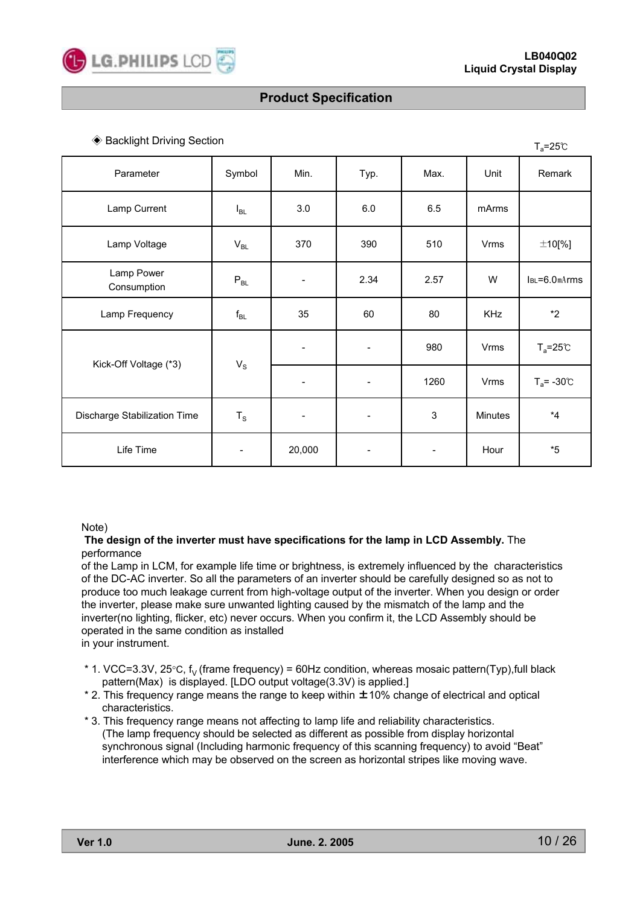

 $T = 25$ <sup>c</sup>

# **Product Specification**

#### ◆ Backlight Driving Section

|                              |                          |                              |                              |                              |         | ⊺al.<br>$- - -$    |
|------------------------------|--------------------------|------------------------------|------------------------------|------------------------------|---------|--------------------|
| Parameter                    | Symbol                   | Min.                         | Typ.                         | Max.                         | Unit    | Remark             |
| Lamp Current                 | $I_{BL}$                 | 3.0                          | 6.0                          | 6.5                          | mArms   |                    |
| Lamp Voltage                 | $V_{BL}$                 | 370                          | 390                          | 510                          | Vrms    | $±10$ [%]          |
| Lamp Power<br>Consumption    | $P_{BL}$                 |                              | 2.34                         | 2.57                         | W       | $IBL = 6.0 mA$ rms |
| Lamp Frequency               | $f_{BL}$                 | 35                           | 60                           | 80                           | KHz     | $*2$               |
|                              | $\mathsf{V}_\mathsf{S}$  |                              |                              | 980                          | Vrms    | $T_a = 25^\circ C$ |
| Kick-Off Voltage (*3)        |                          |                              | $\overline{\phantom{a}}$     | 1260                         | Vrms    | $T_a$ = -30°C      |
| Discharge Stabilization Time | $T_S$                    | $\qquad \qquad \blacksquare$ | $\qquad \qquad \blacksquare$ | $\mathfrak{S}$               | Minutes | $^{\star}4$        |
| Life Time                    | $\overline{\phantom{a}}$ | 20,000                       |                              | $\qquad \qquad \blacksquare$ | Hour    | $*5$               |

#### Note)

#### **The design of the inverter must have specifications for the lamp in LCD Assembly.** The performance

of the Lamp in LCM, for example life time or brightness, is extremely influenced by the characteristics of the DC-AC inverter. So all the parameters of an inverter should be carefully designed so as not to produce too much leakage current from high-voltage output of the inverter. When you design or order the inverter, please make sure unwanted lighting caused by the mismatch of the lamp and the inverter(no lighting, flicker, etc) never occurs. When you confirm it, the LCD Assembly should be operated in the same condition as installed in your instrument.

- \* 1. VCC=3.3V, 25 $\degree$ C, f<sub>y</sub> (frame frequency) = 60Hz condition, whereas mosaic pattern(Typ),full black pattern(Max) is displayed. [LDO output voltage(3.3V) is applied.]
- \* 2. This frequency range means the range to keep within ±10% change of electrical and optical characteristics.
- \* 3. This frequency range means not affecting to lamp life and reliability characteristics. (The lamp frequency should be selected as different as possible from display horizontal synchronous signal (Including harmonic frequency of this scanning frequency) to avoid "Beat" interference which may be observed on the screen as horizontal stripes like moving wave.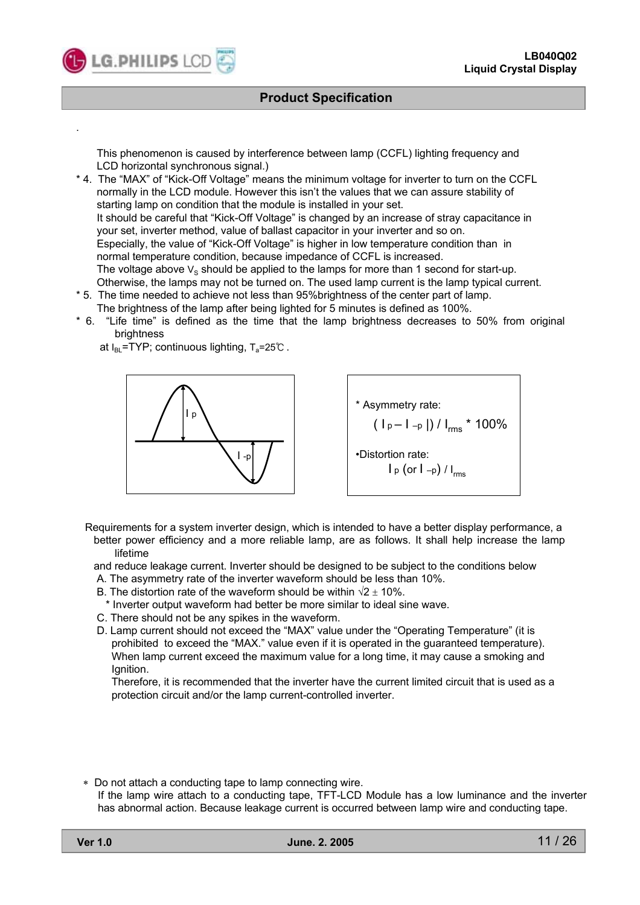This phenomenon is caused by interference between lamp (CCFL) lighting frequency and LCD horizontal synchronous signal.)

- \* 4. The "MAX" of "Kick-Off Voltage" means the minimum voltage for inverter to turn on the CCFL normally in the LCD module. However this isn't the values that we can assure stability of starting lamp on condition that the module is installed in your set. It should be careful that "Kick-Off Voltage" is changed by an increase of stray capacitance in your set, inverter method, value of ballast capacitor in your inverter and so on. Especially, the value of "Kick-Off Voltage" is higher in low temperature condition than in normal temperature condition, because impedance of CCFL is increased. The voltage above  $V_s$  should be applied to the lamps for more than 1 second for start-up. Otherwise, the lamps may not be turned on. The used lamp current is the lamp typical current.
- \* 5. The time needed to achieve not less than 95%brightness of the center part of lamp. The brightness of the lamp after being lighted for 5 minutes is defined as 100%.
- \* 6. "Life time" is defined as the time that the lamp brightness decreases to 50% from original brightness

at  $I_{BL}$ =TYP; continuous lighting,  $T_a$ =25°C.



\* Asymmetry rate:  $( |p - l_{-p}|) / |_{rms} * 100\%$ •Distortion rate:  $\left[\begin{smallmatrix} 1 & 0 \\ 0 & 1 \end{smallmatrix} \right]$   $\left[\begin{smallmatrix} 1 & 0 \\ 0 & 1 \end{smallmatrix} \right]$ 

- Requirements for a system inverter design, which is intended to have a better display performance, a better power efficiency and a more reliable lamp, are as follows. It shall help increase the lamp
	- lifetime

and reduce leakage current. Inverter should be designed to be subject to the conditions below

- A. The asymmetry rate of the inverter waveform should be less than 10%.
- B. The distortion rate of the waveform should be within  $\sqrt{2} \pm 10\%$ .
- \* Inverter output waveform had better be more similar to ideal sine wave.
- C. There should not be any spikes in the waveform.
- D. Lamp current should not exceed the "MAX" value under the "Operating Temperature" (it is prohibited to exceed the "MAX." value even if it is operated in the guaranteed temperature). When lamp current exceed the maximum value for a long time, it may cause a smoking and Ignition.

Therefore, it is recommended that the inverter have the current limited circuit that is used as a protection circuit and/or the lamp current-controlled inverter.

- Do not attach a conducting tape to lamp connecting wire.
- If the lamp wire attach to a conducting tape, TFT-LCD Module has a low luminance and the inverter has abnormal action. Because leakage current is occurred between lamp wire and conducting tape.

.

**LG.PHILIPS LCD**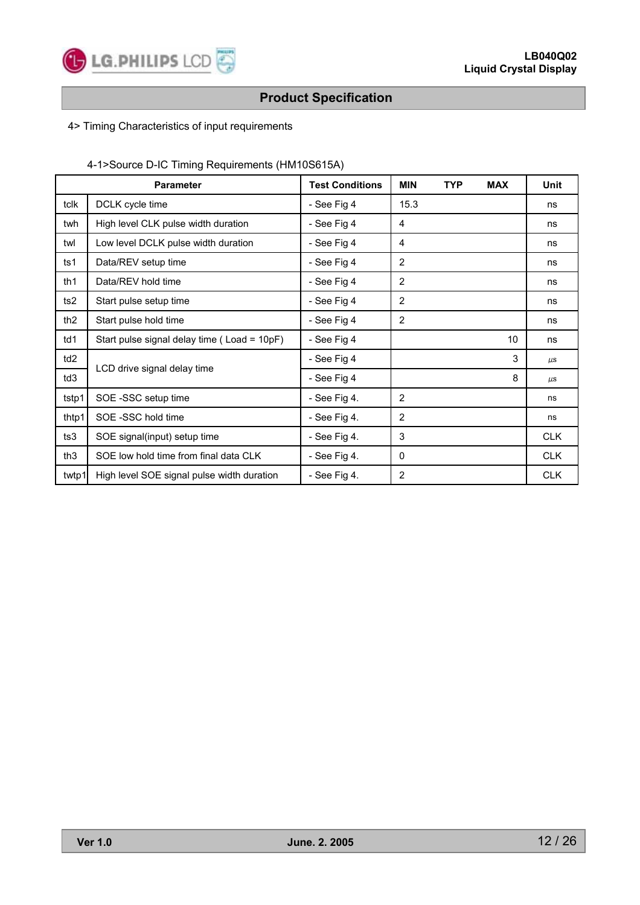

### 4> Timing Characteristics of input requirements

# 4-1>Source D-IC Timing Requirements (HM10S615A)

|                 | <b>Parameter</b>                            | <b>Test Conditions</b> | <b>MIN</b>     | <b>TYP</b> | <b>MAX</b> | <b>Unit</b> |
|-----------------|---------------------------------------------|------------------------|----------------|------------|------------|-------------|
| tclk            | DCLK cycle time                             | - See Fig 4            | 15.3           |            |            | ns          |
| twh             | High level CLK pulse width duration         | - See Fig 4            | 4              |            |            | ns          |
| twl             | Low level DCLK pulse width duration         | - See Fig 4            | 4              |            |            | ns          |
| ts1             | Data/REV setup time                         | - See Fig 4            | $\overline{2}$ |            |            | ns          |
| th1             | Data/REV hold time                          | - See Fig 4            | $\overline{2}$ |            |            | ns          |
| ts2             | Start pulse setup time                      | - See Fig 4            | $\overline{2}$ |            |            | ns          |
| th <sub>2</sub> | Start pulse hold time                       | - See Fig 4            | 2              |            |            | ns          |
| td1             | Start pulse signal delay time (Load = 10pF) | - See Fig 4            |                |            | 10         | ns          |
| td <sub>2</sub> |                                             | - See Fig 4            |                |            | 3          | $\mu$ s     |
| td3             | LCD drive signal delay time                 | - See Fig 4            |                |            | 8          | $\mu$ s     |
| tstp1           | SOE -SSC setup time                         | $-$ See Fig 4.         | $\overline{2}$ |            |            | ns          |
| thtp1           | SOE-SSC hold time                           | - See Fig 4.           | $\overline{2}$ |            |            | ns          |
| ts3             | SOE signal(input) setup time                | $-$ See Fig 4.         | 3              |            |            | <b>CLK</b>  |
| th <sub>3</sub> | SOE low hold time from final data CLK       | - See Fig 4.           | 0              |            |            | <b>CLK</b>  |
| twtp1           | High level SOE signal pulse width duration  | - See Fig 4.           | $\overline{2}$ |            |            | <b>CLK</b>  |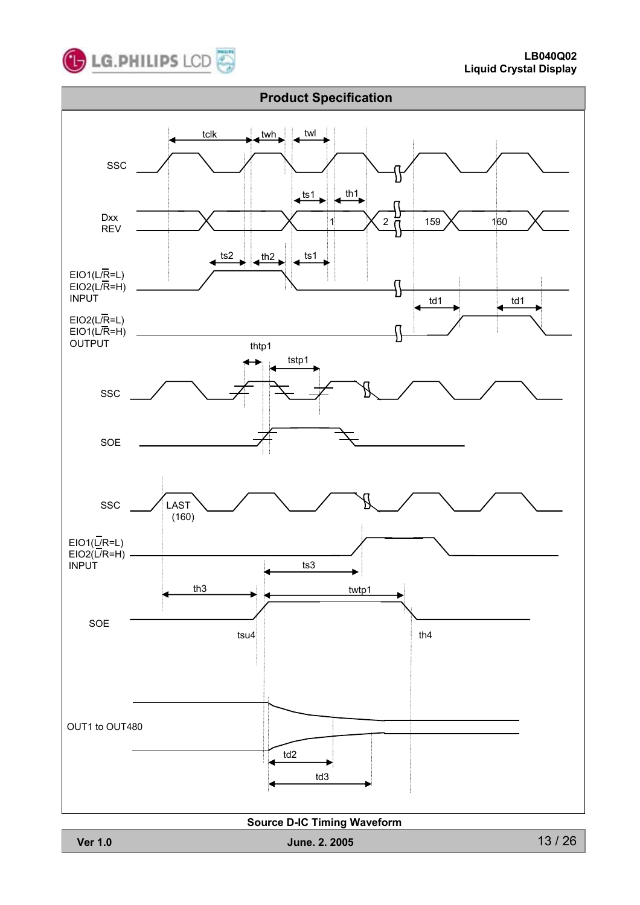



#### **Source D-IC Timing Waveform**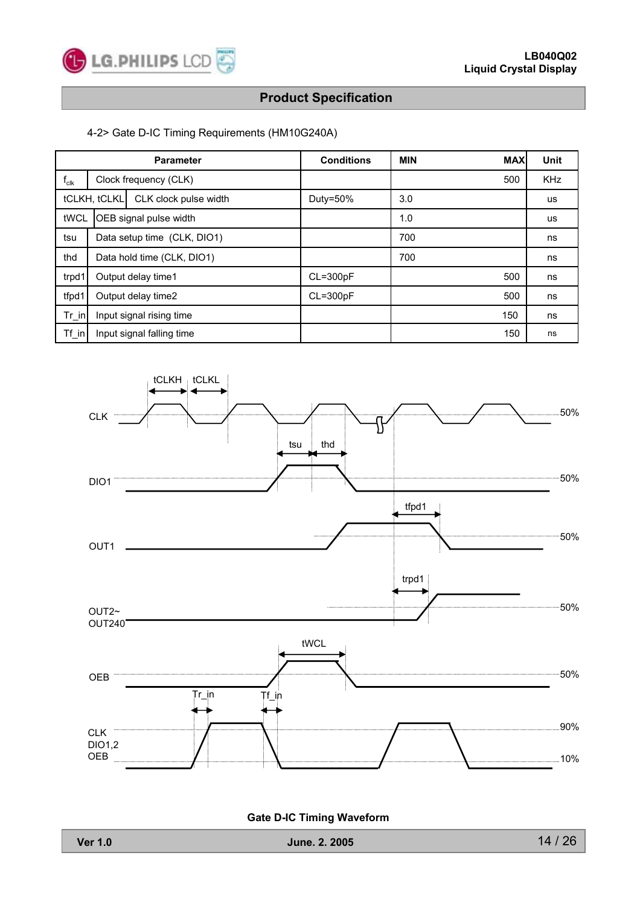

#### 4-2> Gate D-IC Timing Requirements (HM10G240A)

| <b>Parameter</b>               |                             |                           | <b>Conditions</b> | <b>MIN</b> | <b>MAX</b> | <b>Unit</b> |
|--------------------------------|-----------------------------|---------------------------|-------------------|------------|------------|-------------|
| $I_{\text{clk}}$               |                             | Clock frequency (CLK)     |                   |            | 500        | <b>KHz</b>  |
|                                | tCLKH, tCLKL                | CLK clock pulse width     | Duty=50%          | 3.0        |            | <b>us</b>   |
| tWCL<br>OEB signal pulse width |                             |                           | 1.0               |            | <b>us</b>  |             |
| tsu                            | Data setup time (CLK, DIO1) |                           |                   | 700        |            | ns          |
| thd                            | Data hold time (CLK, DIO1)  |                           |                   | 700        |            | ns          |
| trpd1                          | Output delay time1          |                           | $CL = 300pF$      |            | 500        | ns          |
| tfpd1                          | Output delay time2          |                           | $CL = 300pF$      |            | 500        | ns          |
| $Tr_in$                        | Input signal rising time    |                           |                   |            | 150        | ns          |
| Tf in                          |                             | Input signal falling time |                   |            | 150        | ns          |



**Gate D-IC Timing Waveform**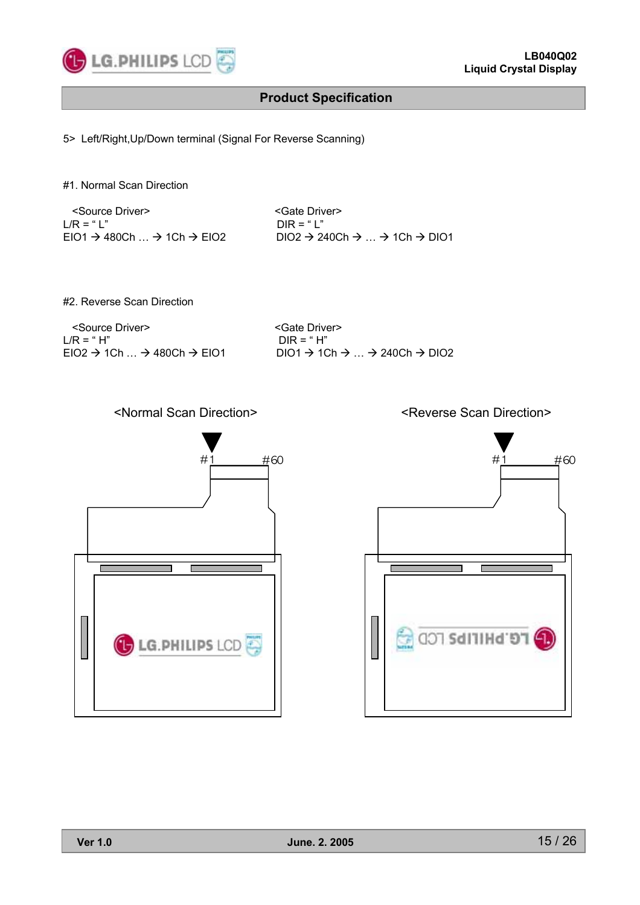

5> Left/Right,Up/Down terminal (Signal For Reverse Scanning)

#1. Normal Scan Direction

| <source driver=""/>                                           | <gate driver=""></gate>                                                |
|---------------------------------------------------------------|------------------------------------------------------------------------|
| $I/R = "I"$                                                   | $DIR = "1"$                                                            |
| $EIO1 \rightarrow 480Ch$ $\rightarrow$ 1Ch $\rightarrow$ EIO2 | $DIO2 \rightarrow 240Ch \rightarrow  \rightarrow 1Ch \rightarrow DIO1$ |

#2. Reverse Scan Direction

<Source Driver>  $L/R = "H"$   $DIR = "H"$ 

 $DIR = " H"$  $EIO2 \rightarrow 1Ch$  ...  $\rightarrow 480Ch \rightarrow EIO1$  DIO1  $\rightarrow 1Ch \rightarrow$  ...  $\rightarrow 240Ch \rightarrow DIO2$ 

### <Normal Scan Direction> <Reverse Scan Direction>



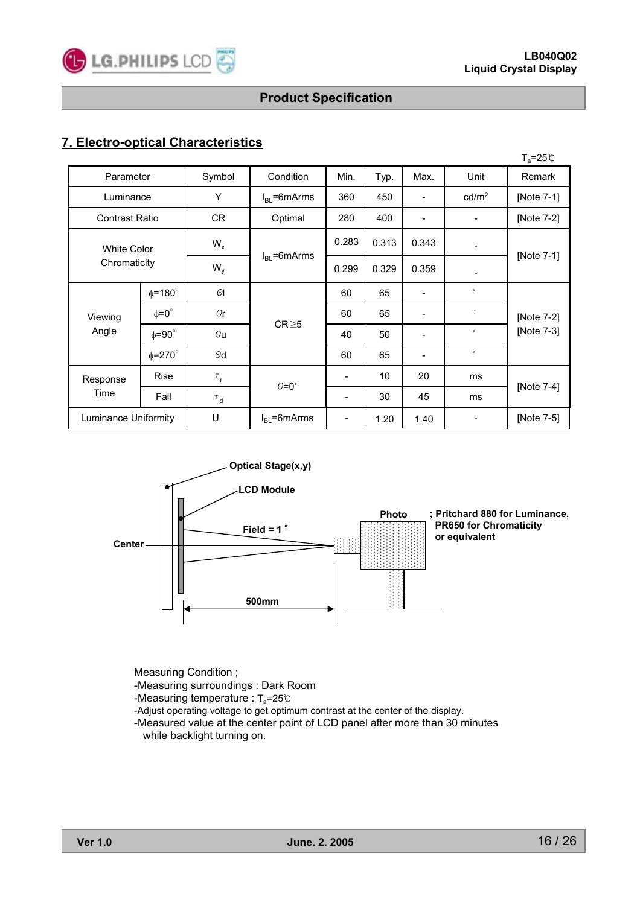

# **7. Electro-optical Characteristics**

|                                    |                    |                |                      |                          |       |       |                          | $T_a = 25^{\circ}C$ |
|------------------------------------|--------------------|----------------|----------------------|--------------------------|-------|-------|--------------------------|---------------------|
| Parameter                          |                    | Symbol         | Condition            | Min.                     | Typ.  | Max.  | Unit                     | Remark              |
| Luminance                          |                    | Y              | $I_{BL}$ =6mArms     | 360                      | 450   |       | cd/m <sup>2</sup>        | [Note 7-1]          |
| <b>Contrast Ratio</b>              |                    | CR             | Optimal              | 280                      | 400   |       | $\overline{\phantom{a}}$ | [Note 7-2]          |
| <b>White Color</b><br>Chromaticity |                    | $W_{x}$        |                      | 0.283                    | 0.313 | 0.343 |                          | [Note 7-1]          |
|                                    |                    | $W_{y}$        | $I_{BL}$ =6mArms     | 0.299                    | 0.329 | 0.359 | $\overline{\phantom{a}}$ |                     |
|                                    | $\phi = 180^\circ$ | $\Theta$ l     | $CR \ge 5$           | 60                       | 65    |       | $\circ$                  |                     |
| Viewing                            | $\phi = 0^{\circ}$ | $\Theta$ r     |                      | 60                       | 65    | -     | $\circ$                  | [Note 7-2]          |
| Angle                              | $\phi = 90^\circ$  | $\Theta$ u     |                      | 40                       | 50    | -     | $\circ$                  | [Note 7-3]          |
|                                    | $\phi = 270^\circ$ | $\Theta$ d     |                      | 60                       | 65    |       | $\circ$                  |                     |
| Response                           | <b>Rise</b>        | $\tau_{\rm r}$ |                      | $\overline{\phantom{a}}$ | 10    | 20    | ms                       |                     |
| Time                               | Fall               | $\tau_{\rm d}$ | $\theta = 0^{\circ}$ | $\overline{\phantom{a}}$ | 30    | 45    | ms                       | [Note 7-4]          |
| Luminance Uniformity               |                    | U              | $I_{BL}$ =6mArms     | $\overline{\phantom{a}}$ | 1.20  | 1.40  |                          | [Note 7-5]          |



Measuring Condition ;

-Measuring surroundings : Dark Room

-Measuring temperature :  $T_a = 25^\circ \text{C}$ 

-Adjust operating voltage to get optimum contrast at the center of the display.

-Measured value at the center point of LCD panel after more than 30 minutes while backlight turning on.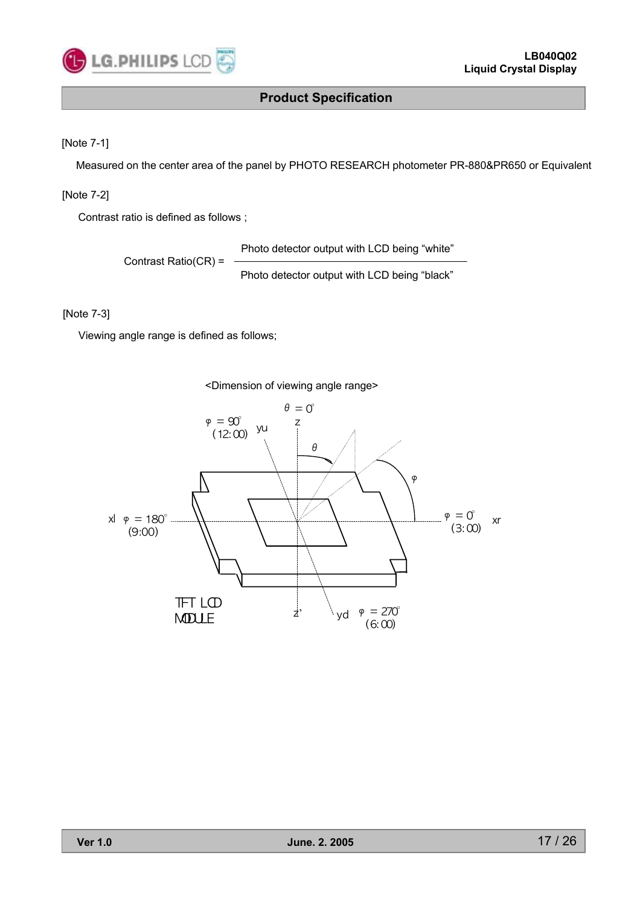

[Note 7-1]

Measured on the center area of the panel by PHOTO RESEARCH photometer PR-880&PR650 or Equivalent

[Note 7-2]

Contrast ratio is defined as follows ;

Contrast Ratio(CR) = Photo detector output with LCD being "white" Photo detector output with LCD being "black"

[Note 7-3]

Viewing angle range is defined as follows;

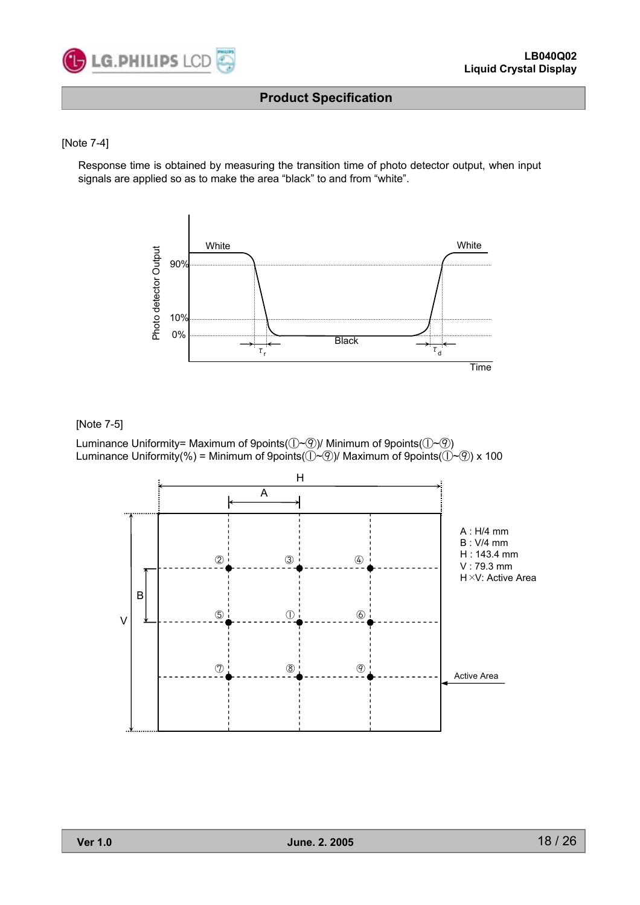

#### [Note 7-4]

Response time is obtained by measuring the transition time of photo detector output, when input signals are applied so as to make the area "black" to and from "white".



#### [Note 7-5]

Luminance Uniformity= Maximum of 9points( $(\neg \neg \mathcal{D})$ / Minimum of 9points( $(\neg \neg \mathcal{D})$ ) Luminance Uniformity(%) = Minimum of 9points( $(\neg \neg \circ \neg)$ / Maximum of 9points( $(\neg \neg \circ \neg)$  x 100

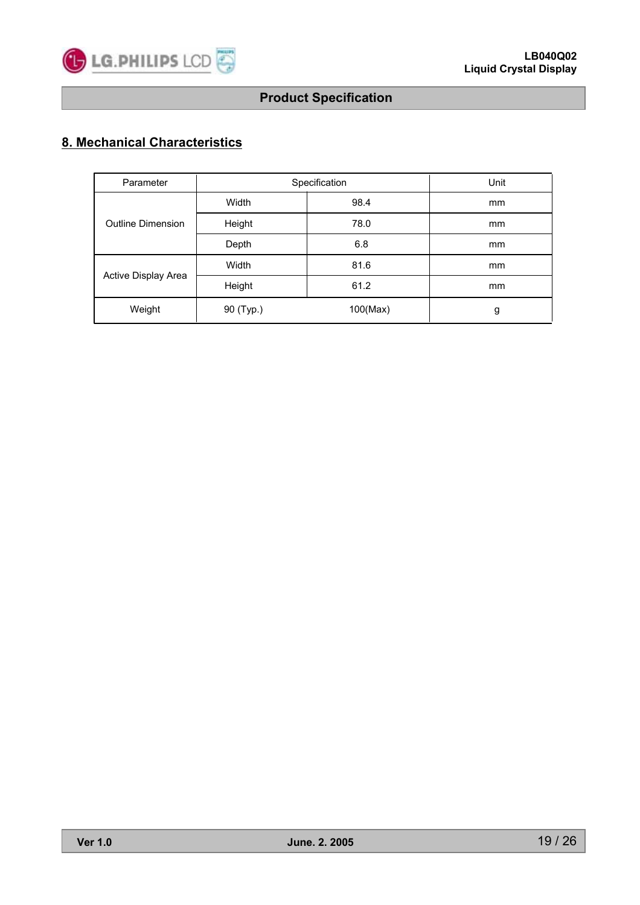

# **8. Mechanical Characteristics**

| Parameter                | Specification | Unit     |    |
|--------------------------|---------------|----------|----|
| <b>Outline Dimension</b> | Width         | 98.4     | mm |
|                          | Height        | 78.0     | mm |
|                          | Depth         | 6.8      | mm |
| Active Display Area      | Width         | 81.6     | mm |
|                          | Height        | 61.2     | mm |
| Weight                   | 90 (Typ.)     | 100(Max) | g  |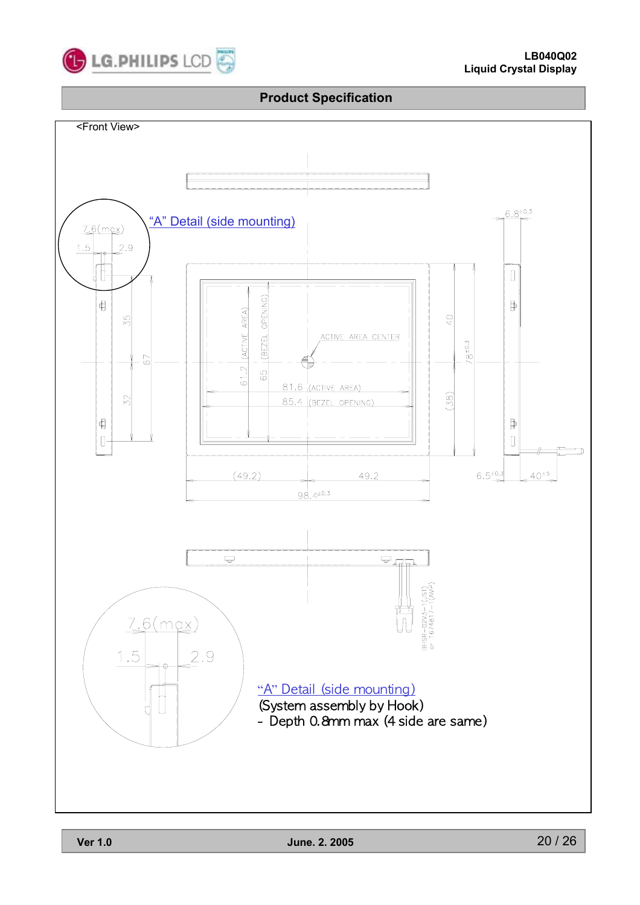

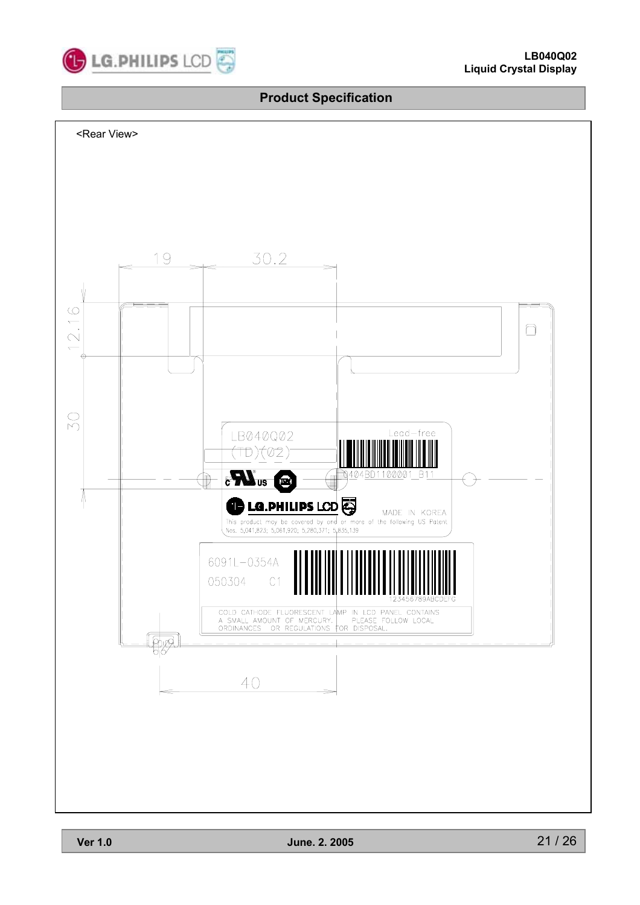

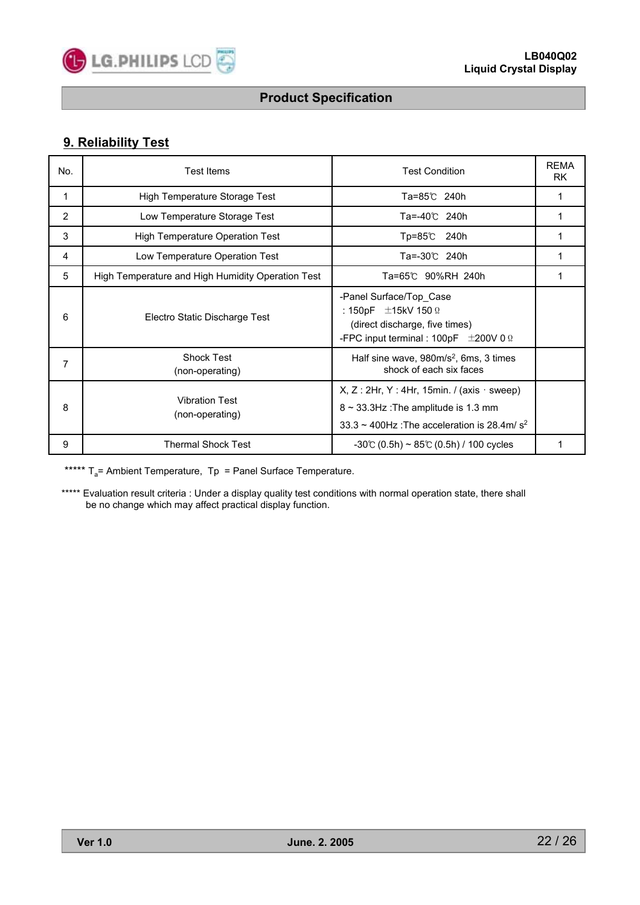

# **9. Reliability Test**

| No. | <b>Test Items</b>                                 | <b>Test Condition</b>                                                                                                                              | <b>REMA</b><br>RK. |
|-----|---------------------------------------------------|----------------------------------------------------------------------------------------------------------------------------------------------------|--------------------|
| 1   | High Temperature Storage Test                     | Ta=85℃ 240h                                                                                                                                        | 1                  |
| 2   | Low Temperature Storage Test                      | Ta=-40℃ 240h                                                                                                                                       |                    |
| 3   | <b>High Temperature Operation Test</b>            | Tp=85℃ 240h                                                                                                                                        |                    |
| 4   | Low Temperature Operation Test                    | Ta=-30℃ 240h                                                                                                                                       |                    |
| 5   | High Temperature and High Humidity Operation Test | Ta=65℃ 90%RH 240h                                                                                                                                  |                    |
| 6   | Electro Static Discharge Test                     | -Panel Surface/Top Case<br>: 150pF $\pm$ 15kV 150 $\Omega$<br>(direct discharge, five times)<br>-FPC input terminal : 100pF $\pm$ 200V 0 $\Omega$  |                    |
| 7   | <b>Shock Test</b><br>(non-operating)              | Half sine wave, 980m/s <sup>2</sup> , 6ms, 3 times<br>shock of each six faces                                                                      |                    |
| 8   | <b>Vibration Test</b><br>(non-operating)          | $X, Z: 2Hr, Y: 4Hr, 15min.$ / (axis $\cdot$ sweep)<br>$8 \sim 33.3$ Hz: The amplitude is 1.3 mm<br>33.3 ~ 400Hz : The acceleration is 28.4m/ $s^2$ |                    |
| 9   | <b>Thermal Shock Test</b>                         | $-30^{\circ}$ (0.5h) ~ 85 $\circ$ (0.5h) / 100 cycles                                                                                              |                    |

\*\*\*\*\*  $T_a$ = Ambient Temperature, Tp = Panel Surface Temperature.

\*\*\*\*\* Evaluation result criteria : Under a display quality test conditions with normal operation state, there shall be no change which may affect practical display function.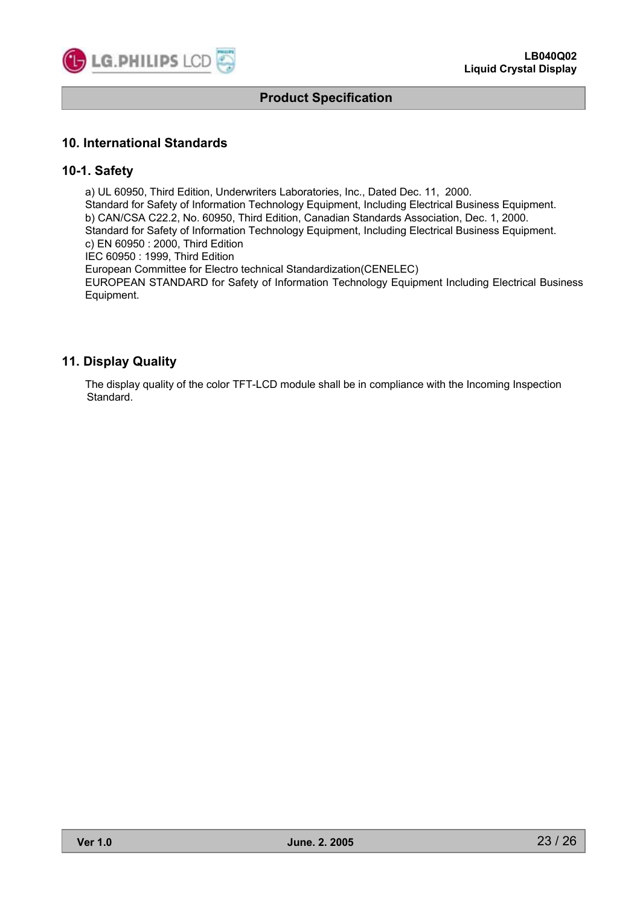

# **10. International Standards**

### **10-1. Safety**

a) UL 60950, Third Edition, Underwriters Laboratories, Inc., Dated Dec. 11, 2000. Standard for Safety of Information Technology Equipment, Including Electrical Business Equipment. b) CAN/CSA C22.2, No. 60950, Third Edition, Canadian Standards Association, Dec. 1, 2000. Standard for Safety of Information Technology Equipment, Including Electrical Business Equipment. c) EN 60950 : 2000, Third Edition IEC 60950 : 1999, Third Edition European Committee for Electro technical Standardization(CENELEC) EUROPEAN STANDARD for Safety of Information Technology Equipment Including Electrical Business Equipment.

# **11. Display Quality**

The display quality of the color TFT-LCD module shall be in compliance with the Incoming Inspection Standard.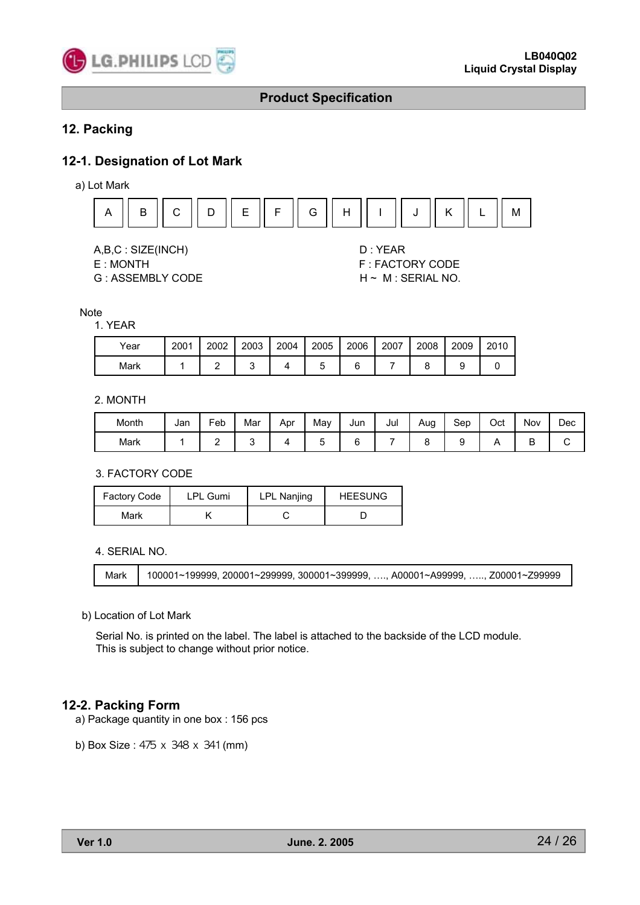

# **12. Packing**

# **12-1. Designation of Lot Mark**

a) Lot Mark



A,B,C : SIZE(INCH) D : YEAR

G : ASSEMBLY CODE H ~ M : SERIAL NO.

E : MONTH F : FACTORY CODE

#### **Note**

1. YEAR

| Year | 2001 | 2002 | 2003 | 2004 | 2005 | 2006 | 2007 | 2008 | 2009 | 2010 |
|------|------|------|------|------|------|------|------|------|------|------|
| Mark |      |      |      |      |      |      |      |      |      |      |

#### 2. MONTH

| Month | Jan | Feb | Mar | Apr | May | Jun | Jul | Aug | Sep | Oct | Nov | Dec |
|-------|-----|-----|-----|-----|-----|-----|-----|-----|-----|-----|-----|-----|
| Mark  |     |     |     |     |     |     |     |     |     |     | -   |     |

3. FACTORY CODE

| Factory Code | <b>LPL Gumi</b> | <b>LPL Nanjing</b> | <b>HEESUNG</b> |  |  |
|--------------|-----------------|--------------------|----------------|--|--|
| Mark         |                 |                    |                |  |  |

4. SERIAL NO.

Mark 100001~199999, 200001~299999, 300001~399999, …., A00001~A99999, ….., Z00001~Z99999

#### b) Location of Lot Mark

Serial No. is printed on the label. The label is attached to the backside of the LCD module. This is subject to change without prior notice.

#### **12-2. Packing Form**

a) Package quantity in one box : 156 pcs

b) Box Size : 475 x 348 x 341 (mm)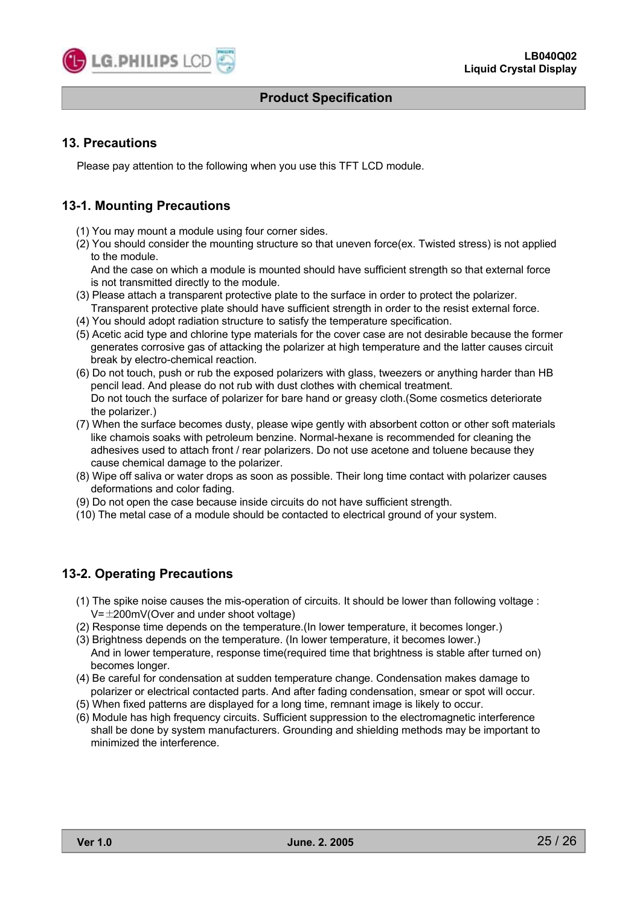

# **13. Precautions**

Please pay attention to the following when you use this TFT LCD module.

# **13-1. Mounting Precautions**

- (1) You may mount a module using four corner sides.
- (2) You should consider the mounting structure so that uneven force(ex. Twisted stress) is not applied to the module.

And the case on which a module is mounted should have sufficient strength so that external force is not transmitted directly to the module.

- (3) Please attach a transparent protective plate to the surface in order to protect the polarizer. Transparent protective plate should have sufficient strength in order to the resist external force.
- (4) You should adopt radiation structure to satisfy the temperature specification.
- (5) Acetic acid type and chlorine type materials for the cover case are not desirable because the former generates corrosive gas of attacking the polarizer at high temperature and the latter causes circuit break by electro-chemical reaction.
- (6) Do not touch, push or rub the exposed polarizers with glass, tweezers or anything harder than HB pencil lead. And please do not rub with dust clothes with chemical treatment. Do not touch the surface of polarizer for bare hand or greasy cloth.(Some cosmetics deteriorate the polarizer.)
- (7) When the surface becomes dusty, please wipe gently with absorbent cotton or other soft materials like chamois soaks with petroleum benzine. Normal-hexane is recommended for cleaning the adhesives used to attach front / rear polarizers. Do not use acetone and toluene because they cause chemical damage to the polarizer.
- (8) Wipe off saliva or water drops as soon as possible. Their long time contact with polarizer causes deformations and color fading.
- (9) Do not open the case because inside circuits do not have sufficient strength.
- (10) The metal case of a module should be contacted to electrical ground of your system.

# **13-2. Operating Precautions**

- (1) The spike noise causes the mis-operation of circuits. It should be lower than following voltage :  $V=\pm 200$ mV(Over and under shoot voltage)
- (2) Response time depends on the temperature.(In lower temperature, it becomes longer.)
- (3) Brightness depends on the temperature. (In lower temperature, it becomes lower.) And in lower temperature, response time(required time that brightness is stable after turned on) becomes longer.
- (4) Be careful for condensation at sudden temperature change. Condensation makes damage to polarizer or electrical contacted parts. And after fading condensation, smear or spot will occur.
- (5) When fixed patterns are displayed for a long time, remnant image is likely to occur.
- (6) Module has high frequency circuits. Sufficient suppression to the electromagnetic interference shall be done by system manufacturers. Grounding and shielding methods may be important to minimized the interference.